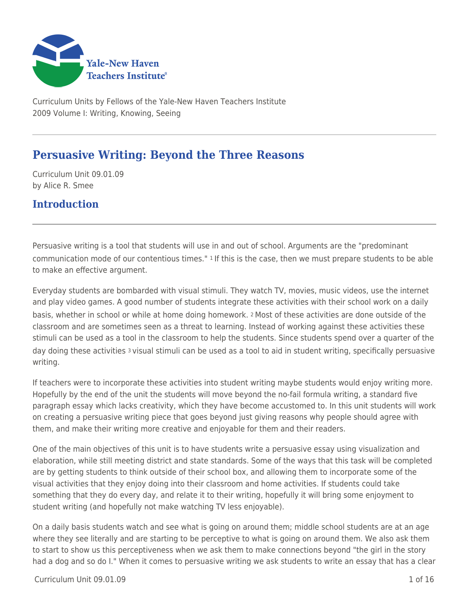

Curriculum Units by Fellows of the Yale-New Haven Teachers Institute 2009 Volume I: Writing, Knowing, Seeing

# **Persuasive Writing: Beyond the Three Reasons**

Curriculum Unit 09.01.09 by Alice R. Smee

## **Introduction**

Persuasive writing is a tool that students will use in and out of school. Arguments are the "predominant communication mode of our contentious times." 1 If this is the case, then we must prepare students to be able to make an effective argument.

Everyday students are bombarded with visual stimuli. They watch TV, movies, music videos, use the internet and play video games. A good number of students integrate these activities with their school work on a daily basis, whether in school or while at home doing homework. 2 Most of these activities are done outside of the classroom and are sometimes seen as a threat to learning. Instead of working against these activities these stimuli can be used as a tool in the classroom to help the students. Since students spend over a quarter of the day doing these activities 3 visual stimuli can be used as a tool to aid in student writing, specifically persuasive writing.

If teachers were to incorporate these activities into student writing maybe students would enjoy writing more. Hopefully by the end of the unit the students will move beyond the no-fail formula writing, a standard five paragraph essay which lacks creativity, which they have become accustomed to. In this unit students will work on creating a persuasive writing piece that goes beyond just giving reasons why people should agree with them, and make their writing more creative and enjoyable for them and their readers.

One of the main objectives of this unit is to have students write a persuasive essay using visualization and elaboration, while still meeting district and state standards. Some of the ways that this task will be completed are by getting students to think outside of their school box, and allowing them to incorporate some of the visual activities that they enjoy doing into their classroom and home activities. If students could take something that they do every day, and relate it to their writing, hopefully it will bring some enjoyment to student writing (and hopefully not make watching TV less enjoyable).

On a daily basis students watch and see what is going on around them; middle school students are at an age where they see literally and are starting to be perceptive to what is going on around them. We also ask them to start to show us this perceptiveness when we ask them to make connections beyond "the girl in the story had a dog and so do I." When it comes to persuasive writing we ask students to write an essay that has a clear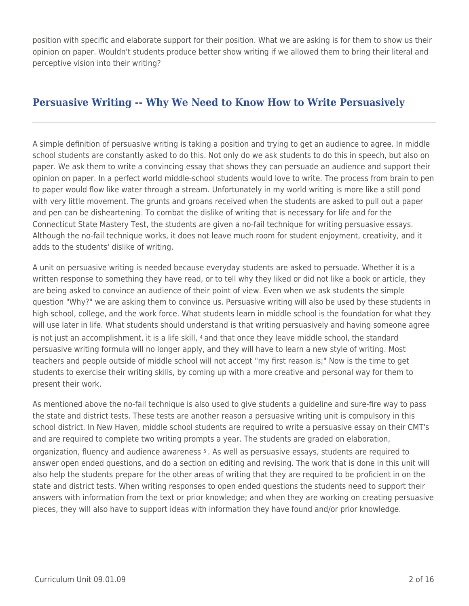position with specific and elaborate support for their position. What we are asking is for them to show us their opinion on paper. Wouldn't students produce better show writing if we allowed them to bring their literal and perceptive vision into their writing?

## **Persuasive Writing -- Why We Need to Know How to Write Persuasively**

A simple definition of persuasive writing is taking a position and trying to get an audience to agree. In middle school students are constantly asked to do this. Not only do we ask students to do this in speech, but also on paper. We ask them to write a convincing essay that shows they can persuade an audience and support their opinion on paper. In a perfect world middle-school students would love to write. The process from brain to pen to paper would flow like water through a stream. Unfortunately in my world writing is more like a still pond with very little movement. The grunts and groans received when the students are asked to pull out a paper and pen can be disheartening. To combat the dislike of writing that is necessary for life and for the Connecticut State Mastery Test, the students are given a no-fail technique for writing persuasive essays. Although the no-fail technique works, it does not leave much room for student enjoyment, creativity, and it adds to the students' dislike of writing.

A unit on persuasive writing is needed because everyday students are asked to persuade. Whether it is a written response to something they have read, or to tell why they liked or did not like a book or article, they are being asked to convince an audience of their point of view. Even when we ask students the simple question "Why?" we are asking them to convince us. Persuasive writing will also be used by these students in high school, college, and the work force. What students learn in middle school is the foundation for what they will use later in life. What students should understand is that writing persuasively and having someone agree is not just an accomplishment, it is a life skill, 4 and that once they leave middle school, the standard persuasive writing formula will no longer apply, and they will have to learn a new style of writing. Most teachers and people outside of middle school will not accept "my first reason is;" Now is the time to get students to exercise their writing skills, by coming up with a more creative and personal way for them to present their work.

As mentioned above the no-fail technique is also used to give students a guideline and sure-fire way to pass the state and district tests. These tests are another reason a persuasive writing unit is compulsory in this school district. In New Haven, middle school students are required to write a persuasive essay on their CMT's and are required to complete two writing prompts a year. The students are graded on elaboration, organization, fluency and audience awareness 5 . As well as persuasive essays, students are required to answer open ended questions, and do a section on editing and revising. The work that is done in this unit will also help the students prepare for the other areas of writing that they are required to be proficient in on the state and district tests. When writing responses to open ended questions the students need to support their answers with information from the text or prior knowledge; and when they are working on creating persuasive pieces, they will also have to support ideas with information they have found and/or prior knowledge.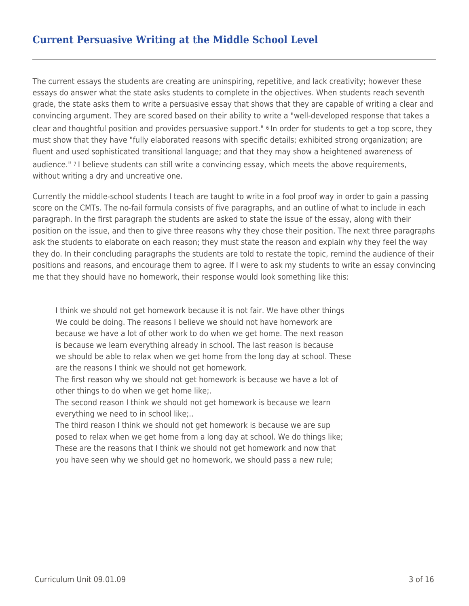## **Current Persuasive Writing at the Middle School Level**

The current essays the students are creating are uninspiring, repetitive, and lack creativity; however these essays do answer what the state asks students to complete in the objectives. When students reach seventh grade, the state asks them to write a persuasive essay that shows that they are capable of writing a clear and convincing argument. They are scored based on their ability to write a "well-developed response that takes a clear and thoughtful position and provides persuasive support." 6 In order for students to get a top score, they must show that they have "fully elaborated reasons with specific details; exhibited strong organization; are fluent and used sophisticated transitional language; and that they may show a heightened awareness of audience." 7 I believe students can still write a convincing essay, which meets the above requirements, without writing a dry and uncreative one.

Currently the middle-school students I teach are taught to write in a fool proof way in order to gain a passing score on the CMTs. The no-fail formula consists of five paragraphs, and an outline of what to include in each paragraph. In the first paragraph the students are asked to state the issue of the essay, along with their position on the issue, and then to give three reasons why they chose their position. The next three paragraphs ask the students to elaborate on each reason; they must state the reason and explain why they feel the way they do. In their concluding paragraphs the students are told to restate the topic, remind the audience of their positions and reasons, and encourage them to agree. If I were to ask my students to write an essay convincing me that they should have no homework, their response would look something like this:

I think we should not get homework because it is not fair. We have other things We could be doing. The reasons I believe we should not have homework are because we have a lot of other work to do when we get home. The next reason is because we learn everything already in school. The last reason is because we should be able to relax when we get home from the long day at school. These are the reasons I think we should not get homework.

The first reason why we should not get homework is because we have a lot of other things to do when we get home like;.

The second reason I think we should not get homework is because we learn everything we need to in school like;..

The third reason I think we should not get homework is because we are sup posed to relax when we get home from a long day at school. We do things like; These are the reasons that I think we should not get homework and now that you have seen why we should get no homework, we should pass a new rule;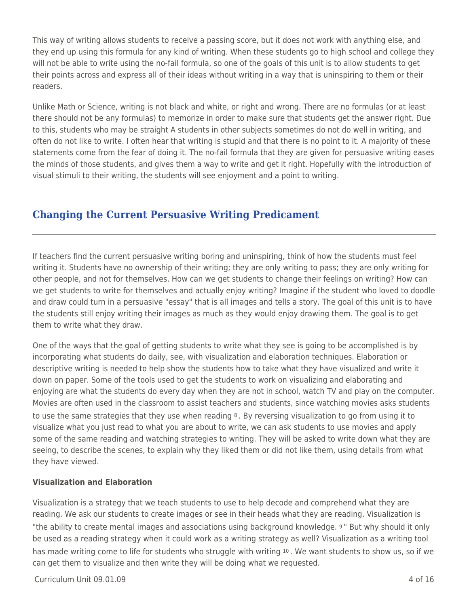This way of writing allows students to receive a passing score, but it does not work with anything else, and they end up using this formula for any kind of writing. When these students go to high school and college they will not be able to write using the no-fail formula, so one of the goals of this unit is to allow students to get their points across and express all of their ideas without writing in a way that is uninspiring to them or their readers.

Unlike Math or Science, writing is not black and white, or right and wrong. There are no formulas (or at least there should not be any formulas) to memorize in order to make sure that students get the answer right. Due to this, students who may be straight A students in other subjects sometimes do not do well in writing, and often do not like to write. I often hear that writing is stupid and that there is no point to it. A majority of these statements come from the fear of doing it. The no-fail formula that they are given for persuasive writing eases the minds of those students, and gives them a way to write and get it right. Hopefully with the introduction of visual stimuli to their writing, the students will see enjoyment and a point to writing.

## **Changing the Current Persuasive Writing Predicament**

If teachers find the current persuasive writing boring and uninspiring, think of how the students must feel writing it. Students have no ownership of their writing; they are only writing to pass; they are only writing for other people, and not for themselves. How can we get students to change their feelings on writing? How can we get students to write for themselves and actually enjoy writing? Imagine if the student who loved to doodle and draw could turn in a persuasive "essay" that is all images and tells a story. The goal of this unit is to have the students still enjoy writing their images as much as they would enjoy drawing them. The goal is to get them to write what they draw.

One of the ways that the goal of getting students to write what they see is going to be accomplished is by incorporating what students do daily, see, with visualization and elaboration techniques. Elaboration or descriptive writing is needed to help show the students how to take what they have visualized and write it down on paper. Some of the tools used to get the students to work on visualizing and elaborating and enjoying are what the students do every day when they are not in school, watch TV and play on the computer. Movies are often used in the classroom to assist teachers and students, since watching movies asks students to use the same strategies that they use when reading  $\delta$ . By reversing visualization to go from using it to visualize what you just read to what you are about to write, we can ask students to use movies and apply some of the same reading and watching strategies to writing. They will be asked to write down what they are seeing, to describe the scenes, to explain why they liked them or did not like them, using details from what they have viewed.

### **Visualization and Elaboration**

Visualization is a strategy that we teach students to use to help decode and comprehend what they are reading. We ask our students to create images or see in their heads what they are reading. Visualization is "the ability to create mental images and associations using background knowledge. <sup>9</sup> " But why should it only be used as a reading strategy when it could work as a writing strategy as well? Visualization as a writing tool has made writing come to life for students who struggle with writing 10. We want students to show us, so if we can get them to visualize and then write they will be doing what we requested.

 $Curir$ ium Unit 09.01.09  $\qquad$  4 of 16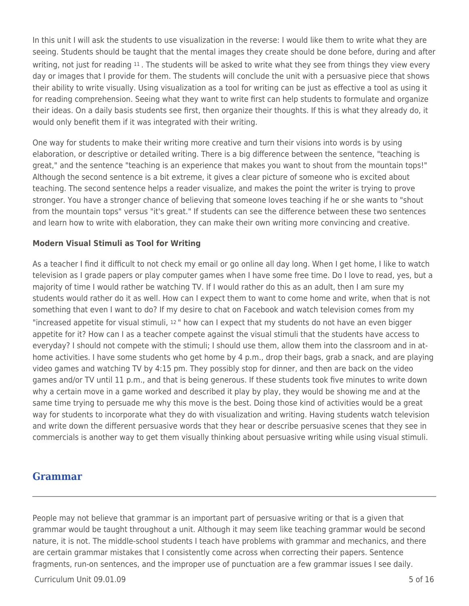In this unit I will ask the students to use visualization in the reverse: I would like them to write what they are seeing. Students should be taught that the mental images they create should be done before, during and after writing, not just for reading 11. The students will be asked to write what they see from things they view every day or images that I provide for them. The students will conclude the unit with a persuasive piece that shows their ability to write visually. Using visualization as a tool for writing can be just as effective a tool as using it for reading comprehension. Seeing what they want to write first can help students to formulate and organize their ideas. On a daily basis students see first, then organize their thoughts. If this is what they already do, it would only benefit them if it was integrated with their writing.

One way for students to make their writing more creative and turn their visions into words is by using elaboration, or descriptive or detailed writing. There is a big difference between the sentence, "teaching is great," and the sentence "teaching is an experience that makes you want to shout from the mountain tops!" Although the second sentence is a bit extreme, it gives a clear picture of someone who is excited about teaching. The second sentence helps a reader visualize, and makes the point the writer is trying to prove stronger. You have a stronger chance of believing that someone loves teaching if he or she wants to "shout from the mountain tops" versus "it's great." If students can see the difference between these two sentences and learn how to write with elaboration, they can make their own writing more convincing and creative.

### **Modern Visual Stimuli as Tool for Writing**

As a teacher I find it difficult to not check my email or go online all day long. When I get home, I like to watch television as I grade papers or play computer games when I have some free time. Do I love to read, yes, but a majority of time I would rather be watching TV. If I would rather do this as an adult, then I am sure my students would rather do it as well. How can I expect them to want to come home and write, when that is not something that even I want to do? If my desire to chat on Facebook and watch television comes from my "increased appetite for visual stimuli, 12 " how can I expect that my students do not have an even bigger appetite for it? How can I as a teacher compete against the visual stimuli that the students have access to everyday? I should not compete with the stimuli; I should use them, allow them into the classroom and in athome activities. I have some students who get home by 4 p.m., drop their bags, grab a snack, and are playing video games and watching TV by 4:15 pm. They possibly stop for dinner, and then are back on the video games and/or TV until 11 p.m., and that is being generous. If these students took five minutes to write down why a certain move in a game worked and described it play by play, they would be showing me and at the same time trying to persuade me why this move is the best. Doing those kind of activities would be a great way for students to incorporate what they do with visualization and writing. Having students watch television and write down the different persuasive words that they hear or describe persuasive scenes that they see in commercials is another way to get them visually thinking about persuasive writing while using visual stimuli.

### **Grammar**

People may not believe that grammar is an important part of persuasive writing or that is a given that grammar would be taught throughout a unit. Although it may seem like teaching grammar would be second nature, it is not. The middle-school students I teach have problems with grammar and mechanics, and there are certain grammar mistakes that I consistently come across when correcting their papers. Sentence fragments, run-on sentences, and the improper use of punctuation are a few grammar issues I see daily.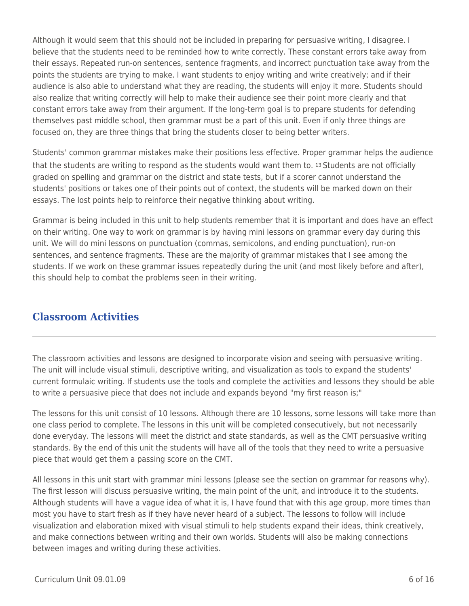Although it would seem that this should not be included in preparing for persuasive writing, I disagree. I believe that the students need to be reminded how to write correctly. These constant errors take away from their essays. Repeated run-on sentences, sentence fragments, and incorrect punctuation take away from the points the students are trying to make. I want students to enjoy writing and write creatively; and if their audience is also able to understand what they are reading, the students will enjoy it more. Students should also realize that writing correctly will help to make their audience see their point more clearly and that constant errors take away from their argument. If the long-term goal is to prepare students for defending themselves past middle school, then grammar must be a part of this unit. Even if only three things are focused on, they are three things that bring the students closer to being better writers.

Students' common grammar mistakes make their positions less effective. Proper grammar helps the audience that the students are writing to respond as the students would want them to. 13 Students are not officially graded on spelling and grammar on the district and state tests, but if a scorer cannot understand the students' positions or takes one of their points out of context, the students will be marked down on their essays. The lost points help to reinforce their negative thinking about writing.

Grammar is being included in this unit to help students remember that it is important and does have an effect on their writing. One way to work on grammar is by having mini lessons on grammar every day during this unit. We will do mini lessons on punctuation (commas, semicolons, and ending punctuation), run-on sentences, and sentence fragments. These are the majority of grammar mistakes that I see among the students. If we work on these grammar issues repeatedly during the unit (and most likely before and after), this should help to combat the problems seen in their writing.

## **Classroom Activities**

The classroom activities and lessons are designed to incorporate vision and seeing with persuasive writing. The unit will include visual stimuli, descriptive writing, and visualization as tools to expand the students' current formulaic writing. If students use the tools and complete the activities and lessons they should be able to write a persuasive piece that does not include and expands beyond "my first reason is;"

The lessons for this unit consist of 10 lessons. Although there are 10 lessons, some lessons will take more than one class period to complete. The lessons in this unit will be completed consecutively, but not necessarily done everyday. The lessons will meet the district and state standards, as well as the CMT persuasive writing standards. By the end of this unit the students will have all of the tools that they need to write a persuasive piece that would get them a passing score on the CMT.

All lessons in this unit start with grammar mini lessons (please see the section on grammar for reasons why). The first lesson will discuss persuasive writing, the main point of the unit, and introduce it to the students. Although students will have a vague idea of what it is, I have found that with this age group, more times than most you have to start fresh as if they have never heard of a subject. The lessons to follow will include visualization and elaboration mixed with visual stimuli to help students expand their ideas, think creatively, and make connections between writing and their own worlds. Students will also be making connections between images and writing during these activities.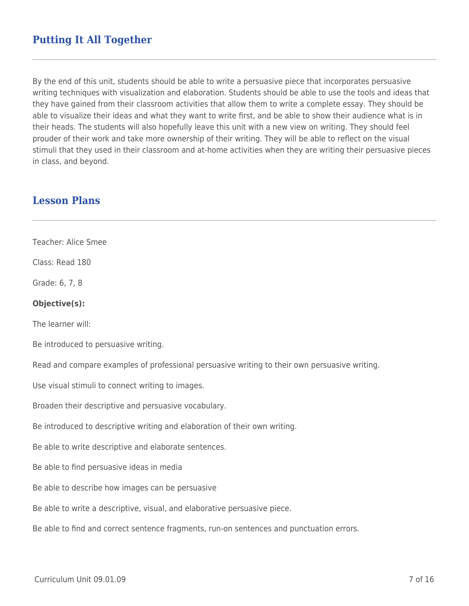## **Putting It All Together**

By the end of this unit, students should be able to write a persuasive piece that incorporates persuasive writing techniques with visualization and elaboration. Students should be able to use the tools and ideas that they have gained from their classroom activities that allow them to write a complete essay. They should be able to visualize their ideas and what they want to write first, and be able to show their audience what is in their heads. The students will also hopefully leave this unit with a new view on writing. They should feel prouder of their work and take more ownership of their writing. They will be able to reflect on the visual stimuli that they used in their classroom and at-home activities when they are writing their persuasive pieces in class, and beyond.

### **Lesson Plans**

Teacher: Alice Smee

Class: Read 180

Grade: 6, 7, 8

#### **Objective(s):**

The learner will:

Be introduced to persuasive writing.

Read and compare examples of professional persuasive writing to their own persuasive writing.

Use visual stimuli to connect writing to images.

Broaden their descriptive and persuasive vocabulary.

Be introduced to descriptive writing and elaboration of their own writing.

Be able to write descriptive and elaborate sentences.

Be able to find persuasive ideas in media

Be able to describe how images can be persuasive

Be able to write a descriptive, visual, and elaborative persuasive piece.

Be able to find and correct sentence fragments, run-on sentences and punctuation errors.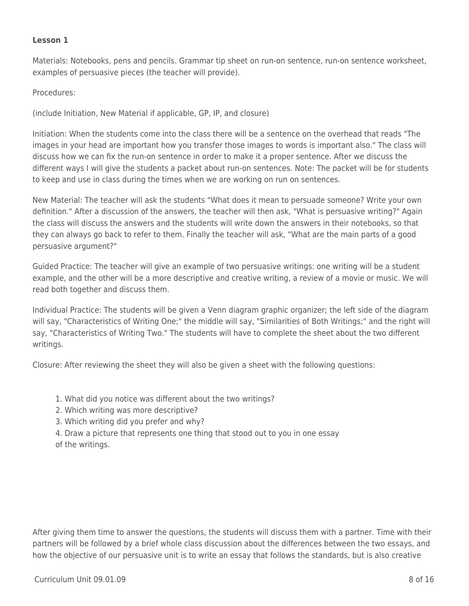### **Lesson 1**

Materials: Notebooks, pens and pencils. Grammar tip sheet on run-on sentence, run-on sentence worksheet, examples of persuasive pieces (the teacher will provide).

Procedures:

(include Initiation, New Material if applicable, GP, IP, and closure)

Initiation: When the students come into the class there will be a sentence on the overhead that reads "The images in your head are important how you transfer those images to words is important also." The class will discuss how we can fix the run-on sentence in order to make it a proper sentence. After we discuss the different ways I will give the students a packet about run-on sentences. Note: The packet will be for students to keep and use in class during the times when we are working on run on sentences.

New Material: The teacher will ask the students "What does it mean to persuade someone? Write your own definition." After a discussion of the answers, the teacher will then ask, "What is persuasive writing?" Again the class will discuss the answers and the students will write down the answers in their notebooks, so that they can always go back to refer to them. Finally the teacher will ask, "What are the main parts of a good persuasive argument?"

Guided Practice: The teacher will give an example of two persuasive writings: one writing will be a student example, and the other will be a more descriptive and creative writing, a review of a movie or music. We will read both together and discuss them.

Individual Practice: The students will be given a Venn diagram graphic organizer; the left side of the diagram will say, "Characteristics of Writing One;" the middle will say, "Similarities of Both Writings;" and the right will say, "Characteristics of Writing Two." The students will have to complete the sheet about the two different writings.

Closure: After reviewing the sheet they will also be given a sheet with the following questions:

- 1. What did you notice was different about the two writings?
- 2. Which writing was more descriptive?
- 3. Which writing did you prefer and why?
- 4. Draw a picture that represents one thing that stood out to you in one essay of the writings.

After giving them time to answer the questions, the students will discuss them with a partner. Time with their partners will be followed by a brief whole class discussion about the differences between the two essays, and how the objective of our persuasive unit is to write an essay that follows the standards, but is also creative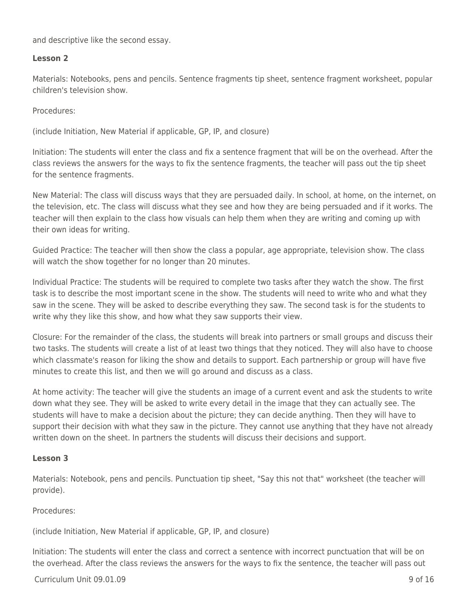and descriptive like the second essay.

### **Lesson 2**

Materials: Notebooks, pens and pencils. Sentence fragments tip sheet, sentence fragment worksheet, popular children's television show.

Procedures:

(include Initiation, New Material if applicable, GP, IP, and closure)

Initiation: The students will enter the class and fix a sentence fragment that will be on the overhead. After the class reviews the answers for the ways to fix the sentence fragments, the teacher will pass out the tip sheet for the sentence fragments.

New Material: The class will discuss ways that they are persuaded daily. In school, at home, on the internet, on the television, etc. The class will discuss what they see and how they are being persuaded and if it works. The teacher will then explain to the class how visuals can help them when they are writing and coming up with their own ideas for writing.

Guided Practice: The teacher will then show the class a popular, age appropriate, television show. The class will watch the show together for no longer than 20 minutes.

Individual Practice: The students will be required to complete two tasks after they watch the show. The first task is to describe the most important scene in the show. The students will need to write who and what they saw in the scene. They will be asked to describe everything they saw. The second task is for the students to write why they like this show, and how what they saw supports their view.

Closure: For the remainder of the class, the students will break into partners or small groups and discuss their two tasks. The students will create a list of at least two things that they noticed. They will also have to choose which classmate's reason for liking the show and details to support. Each partnership or group will have five minutes to create this list, and then we will go around and discuss as a class.

At home activity: The teacher will give the students an image of a current event and ask the students to write down what they see. They will be asked to write every detail in the image that they can actually see. The students will have to make a decision about the picture; they can decide anything. Then they will have to support their decision with what they saw in the picture. They cannot use anything that they have not already written down on the sheet. In partners the students will discuss their decisions and support.

#### **Lesson 3**

Materials: Notebook, pens and pencils. Punctuation tip sheet, "Say this not that" worksheet (the teacher will provide).

#### Procedures:

(include Initiation, New Material if applicable, GP, IP, and closure)

Initiation: The students will enter the class and correct a sentence with incorrect punctuation that will be on the overhead. After the class reviews the answers for the ways to fix the sentence, the teacher will pass out

#### $Curir$ iulum Unit 09.01.09  $\qquad$  9 of 16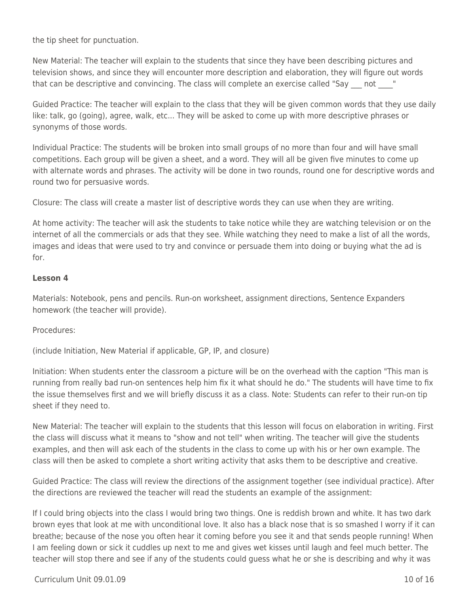the tip sheet for punctuation.

New Material: The teacher will explain to the students that since they have been describing pictures and television shows, and since they will encounter more description and elaboration, they will figure out words that can be descriptive and convincing. The class will complete an exercise called "Say not "

Guided Practice: The teacher will explain to the class that they will be given common words that they use daily like: talk, go (going), agree, walk, etc... They will be asked to come up with more descriptive phrases or synonyms of those words.

Individual Practice: The students will be broken into small groups of no more than four and will have small competitions. Each group will be given a sheet, and a word. They will all be given five minutes to come up with alternate words and phrases. The activity will be done in two rounds, round one for descriptive words and round two for persuasive words.

Closure: The class will create a master list of descriptive words they can use when they are writing.

At home activity: The teacher will ask the students to take notice while they are watching television or on the internet of all the commercials or ads that they see. While watching they need to make a list of all the words, images and ideas that were used to try and convince or persuade them into doing or buying what the ad is for.

### **Lesson 4**

Materials: Notebook, pens and pencils. Run-on worksheet, assignment directions, Sentence Expanders homework (the teacher will provide).

Procedures:

(include Initiation, New Material if applicable, GP, IP, and closure)

Initiation: When students enter the classroom a picture will be on the overhead with the caption "This man is running from really bad run-on sentences help him fix it what should he do." The students will have time to fix the issue themselves first and we will briefly discuss it as a class. Note: Students can refer to their run-on tip sheet if they need to.

New Material: The teacher will explain to the students that this lesson will focus on elaboration in writing. First the class will discuss what it means to "show and not tell" when writing. The teacher will give the students examples, and then will ask each of the students in the class to come up with his or her own example. The class will then be asked to complete a short writing activity that asks them to be descriptive and creative.

Guided Practice: The class will review the directions of the assignment together (see individual practice). After the directions are reviewed the teacher will read the students an example of the assignment:

If I could bring objects into the class I would bring two things. One is reddish brown and white. It has two dark brown eyes that look at me with unconditional love. It also has a black nose that is so smashed I worry if it can breathe; because of the nose you often hear it coming before you see it and that sends people running! When I am feeling down or sick it cuddles up next to me and gives wet kisses until laugh and feel much better. The teacher will stop there and see if any of the students could guess what he or she is describing and why it was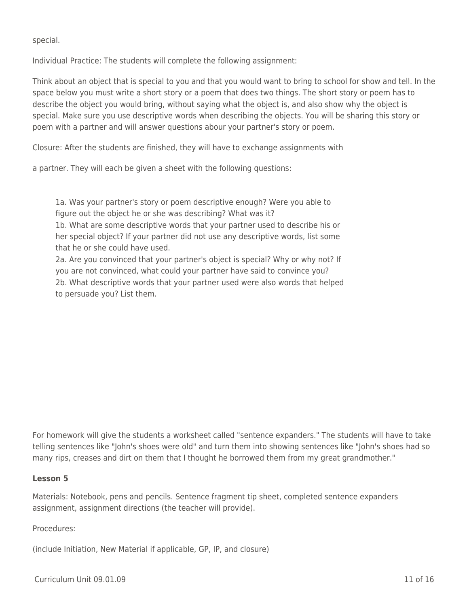special.

Individual Practice: The students will complete the following assignment:

Think about an object that is special to you and that you would want to bring to school for show and tell. In the space below you must write a short story or a poem that does two things. The short story or poem has to describe the object you would bring, without saying what the object is, and also show why the object is special. Make sure you use descriptive words when describing the objects. You will be sharing this story or poem with a partner and will answer questions abour your partner's story or poem.

Closure: After the students are finished, they will have to exchange assignments with

a partner. They will each be given a sheet with the following questions:

1a. Was your partner's story or poem descriptive enough? Were you able to figure out the object he or she was describing? What was it?

1b. What are some descriptive words that your partner used to describe his or her special object? If your partner did not use any descriptive words, list some that he or she could have used.

2a. Are you convinced that your partner's object is special? Why or why not? If you are not convinced, what could your partner have said to convince you? 2b. What descriptive words that your partner used were also words that helped to persuade you? List them.

For homework will give the students a worksheet called "sentence expanders." The students will have to take telling sentences like "John's shoes were old" and turn them into showing sentences like "John's shoes had so many rips, creases and dirt on them that I thought he borrowed them from my great grandmother."

#### **Lesson 5**

Materials: Notebook, pens and pencils. Sentence fragment tip sheet, completed sentence expanders assignment, assignment directions (the teacher will provide).

#### Procedures:

(include Initiation, New Material if applicable, GP, IP, and closure)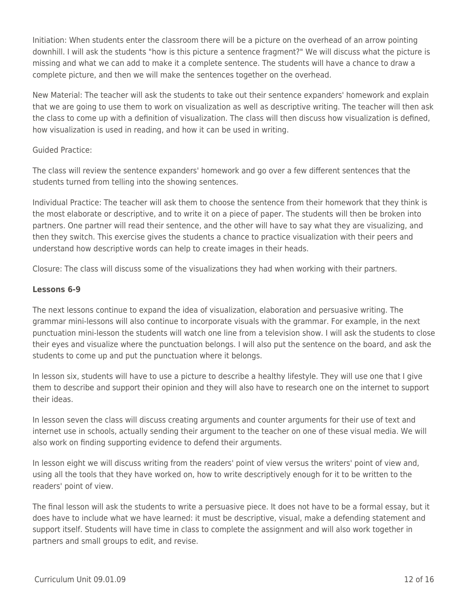Initiation: When students enter the classroom there will be a picture on the overhead of an arrow pointing downhill. I will ask the students "how is this picture a sentence fragment?" We will discuss what the picture is missing and what we can add to make it a complete sentence. The students will have a chance to draw a complete picture, and then we will make the sentences together on the overhead.

New Material: The teacher will ask the students to take out their sentence expanders' homework and explain that we are going to use them to work on visualization as well as descriptive writing. The teacher will then ask the class to come up with a definition of visualization. The class will then discuss how visualization is defined, how visualization is used in reading, and how it can be used in writing.

### Guided Practice:

The class will review the sentence expanders' homework and go over a few different sentences that the students turned from telling into the showing sentences.

Individual Practice: The teacher will ask them to choose the sentence from their homework that they think is the most elaborate or descriptive, and to write it on a piece of paper. The students will then be broken into partners. One partner will read their sentence, and the other will have to say what they are visualizing, and then they switch. This exercise gives the students a chance to practice visualization with their peers and understand how descriptive words can help to create images in their heads.

Closure: The class will discuss some of the visualizations they had when working with their partners.

### **Lessons 6-9**

The next lessons continue to expand the idea of visualization, elaboration and persuasive writing. The grammar mini-lessons will also continue to incorporate visuals with the grammar. For example, in the next punctuation mini-lesson the students will watch one line from a television show. I will ask the students to close their eyes and visualize where the punctuation belongs. I will also put the sentence on the board, and ask the students to come up and put the punctuation where it belongs.

In lesson six, students will have to use a picture to describe a healthy lifestyle. They will use one that I give them to describe and support their opinion and they will also have to research one on the internet to support their ideas.

In lesson seven the class will discuss creating arguments and counter arguments for their use of text and internet use in schools, actually sending their argument to the teacher on one of these visual media. We will also work on finding supporting evidence to defend their arguments.

In lesson eight we will discuss writing from the readers' point of view versus the writers' point of view and, using all the tools that they have worked on, how to write descriptively enough for it to be written to the readers' point of view.

The final lesson will ask the students to write a persuasive piece. It does not have to be a formal essay, but it does have to include what we have learned: it must be descriptive, visual, make a defending statement and support itself. Students will have time in class to complete the assignment and will also work together in partners and small groups to edit, and revise.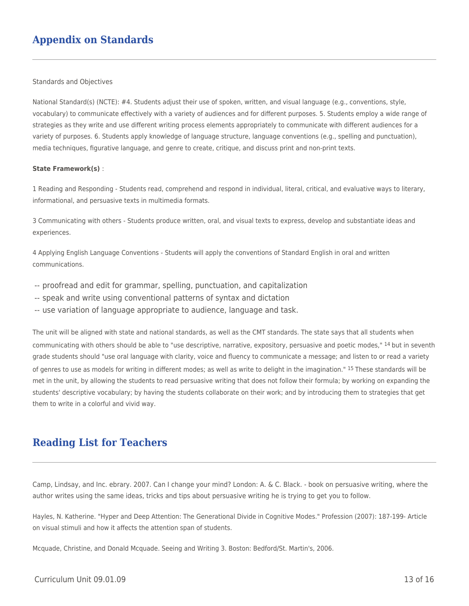## **Appendix on Standards**

Standards and Objectives

National Standard(s) (NCTE): #4. Students adjust their use of spoken, written, and visual language (e.g., conventions, style, vocabulary) to communicate effectively with a variety of audiences and for different purposes. 5. Students employ a wide range of strategies as they write and use different writing process elements appropriately to communicate with different audiences for a variety of purposes. 6. Students apply knowledge of language structure, language conventions (e.g., spelling and punctuation), media techniques, figurative language, and genre to create, critique, and discuss print and non-print texts.

#### **State Framework(s)** :

1 Reading and Responding - Students read, comprehend and respond in individual, literal, critical, and evaluative ways to literary, informational, and persuasive texts in multimedia formats.

3 Communicating with others - Students produce written, oral, and visual texts to express, develop and substantiate ideas and experiences.

4 Applying English Language Conventions - Students will apply the conventions of Standard English in oral and written communications.

- -- proofread and edit for grammar, spelling, punctuation, and capitalization
- -- speak and write using conventional patterns of syntax and dictation
- -- use variation of language appropriate to audience, language and task.

The unit will be aligned with state and national standards, as well as the CMT standards. The state says that all students when communicating with others should be able to "use descriptive, narrative, expository, persuasive and poetic modes," 14 but in seventh grade students should "use oral language with clarity, voice and fluency to communicate a message; and listen to or read a variety of genres to use as models for writing in different modes; as well as write to delight in the imagination." 15 These standards will be met in the unit, by allowing the students to read persuasive writing that does not follow their formula; by working on expanding the students' descriptive vocabulary; by having the students collaborate on their work; and by introducing them to strategies that get them to write in a colorful and vivid way.

### **Reading List for Teachers**

Camp, Lindsay, and Inc. ebrary. 2007. Can I change your mind? London: A. & C. Black. - book on persuasive writing, where the author writes using the same ideas, tricks and tips about persuasive writing he is trying to get you to follow.

Hayles, N. Katherine. "Hyper and Deep Attention: The Generational Divide in Cognitive Modes." Profession (2007): 187-199- Article on visual stimuli and how it affects the attention span of students.

Mcquade, Christine, and Donald Mcquade. Seeing and Writing 3. Boston: Bedford/St. Martin's, 2006.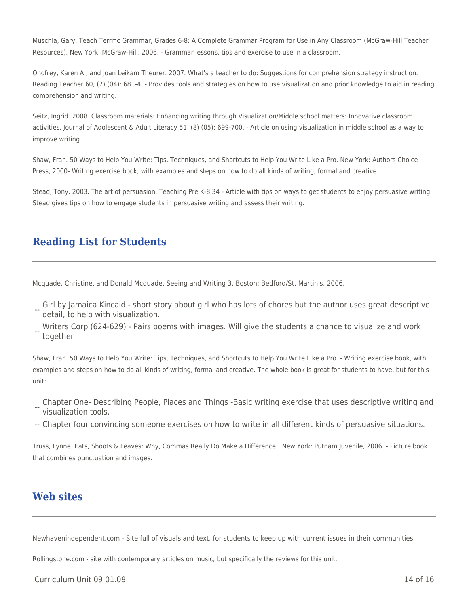Muschla, Gary. Teach Terrific Grammar, Grades 6-8: A Complete Grammar Program for Use in Any Classroom (McGraw-Hill Teacher Resources). New York: McGraw-Hill, 2006. - Grammar lessons, tips and exercise to use in a classroom.

Onofrey, Karen A., and Joan Leikam Theurer. 2007. What's a teacher to do: Suggestions for comprehension strategy instruction. Reading Teacher 60, (7) (04): 681-4. - Provides tools and strategies on how to use visualization and prior knowledge to aid in reading comprehension and writing.

Seitz, Ingrid. 2008. Classroom materials: Enhancing writing through Visualization/Middle school matters: Innovative classroom activities. Journal of Adolescent & Adult Literacy 51, (8) (05): 699-700. - Article on using visualization in middle school as a way to improve writing.

Shaw, Fran. 50 Ways to Help You Write: Tips, Techniques, and Shortcuts to Help You Write Like a Pro. New York: Authors Choice Press, 2000- Writing exercise book, with examples and steps on how to do all kinds of writing, formal and creative.

Stead, Tony. 2003. The art of persuasion. Teaching Pre K-8 34 - Article with tips on ways to get students to enjoy persuasive writing. Stead gives tips on how to engage students in persuasive writing and assess their writing.

## **Reading List for Students**

Mcquade, Christine, and Donald Mcquade. Seeing and Writing 3. Boston: Bedford/St. Martin's, 2006.

- -- Girl by Jamaica Kincaid - short story about girl who has lots of chores but the author uses great descriptive detail, to help with visualization.
- -- together Writers Corp (624-629) - Pairs poems with images. Will give the students a chance to visualize and work

Shaw, Fran. 50 Ways to Help You Write: Tips, Techniques, and Shortcuts to Help You Write Like a Pro. - Writing exercise book, with examples and steps on how to do all kinds of writing, formal and creative. The whole book is great for students to have, but for this unit:

- -- Chapter One- Describing People, Places and Things -Basic writing exercise that uses descriptive writing and visualization tools.
- -- Chapter four convincing someone exercises on how to write in all different kinds of persuasive situations.

Truss, Lynne. Eats, Shoots & Leaves: Why, Commas Really Do Make a Difference!. New York: Putnam Juvenile, 2006. - Picture book that combines punctuation and images.

### **Web sites**

Newhavenindependent.com - Site full of visuals and text, for students to keep up with current issues in their communities.

Rollingstone.com - site with contemporary articles on music, but specifically the reviews for this unit.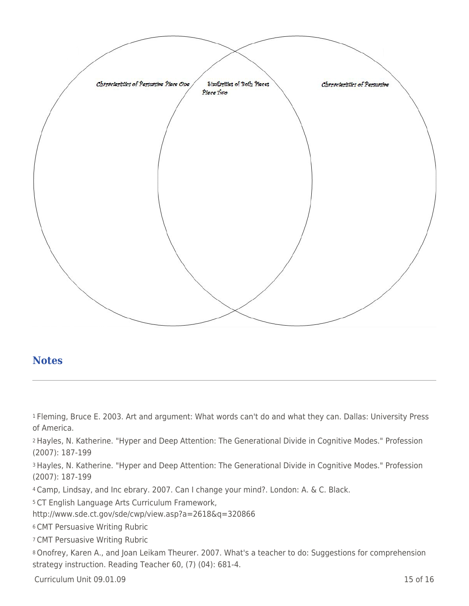

### **Notes**

<sup>1</sup>Fleming, Bruce E. 2003. Art and argument: What words can't do and what they can. Dallas: University Press of America.

<sup>2</sup>Hayles, N. Katherine. "Hyper and Deep Attention: The Generational Divide in Cognitive Modes." Profession (2007): 187-199

<sup>3</sup>Hayles, N. Katherine. "Hyper and Deep Attention: The Generational Divide in Cognitive Modes." Profession (2007): 187-199

<sup>4</sup>Camp, Lindsay, and Inc ebrary. 2007. Can I change your mind?. London: A. & C. Black.

<sup>5</sup>CT English Language Arts Curriculum Framework,

http://www.sde.ct.gov/sde/cwp/view.asp?a=2618&q=320866

<sup>6</sup>CMT Persuasive Writing Rubric

<sup>7</sup>CMT Persuasive Writing Rubric

<sup>8</sup>Onofrey, Karen A., and Joan Leikam Theurer. 2007. What's a teacher to do: Suggestions for comprehension strategy instruction. Reading Teacher 60, (7) (04): 681-4.

Curriculum Unit 09.01.09 15 of 16